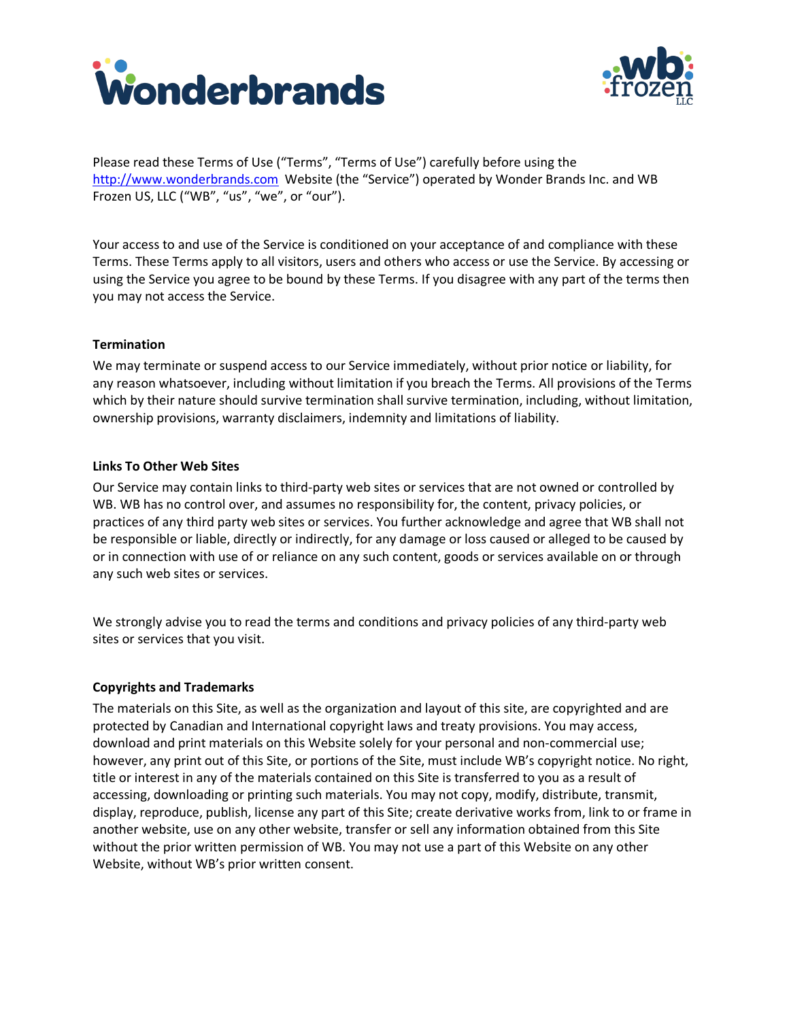



Please read these Terms of Use ("Terms", "Terms of Use") carefully before using the [http://www.wonderbrands.com](http://www.wonderbrands.com/) Website (the "Service") operated by Wonder Brands Inc. and WB Frozen US, LLC ("WB", "us", "we", or "our").

Your access to and use of the Service is conditioned on your acceptance of and compliance with these Terms. These Terms apply to all visitors, users and others who access or use the Service. By accessing or using the Service you agree to be bound by these Terms. If you disagree with any part of the terms then you may not access the Service.

# **Termination**

We may terminate or suspend access to our Service immediately, without prior notice or liability, for any reason whatsoever, including without limitation if you breach the Terms. All provisions of the Terms which by their nature should survive termination shall survive termination, including, without limitation, ownership provisions, warranty disclaimers, indemnity and limitations of liability.

# **Links To Other Web Sites**

Our Service may contain links to third-party web sites or services that are not owned or controlled by WB. WB has no control over, and assumes no responsibility for, the content, privacy policies, or practices of any third party web sites or services. You further acknowledge and agree that WB shall not be responsible or liable, directly or indirectly, for any damage or loss caused or alleged to be caused by or in connection with use of or reliance on any such content, goods or services available on or through any such web sites or services.

We strongly advise you to read the terms and conditions and privacy policies of any third-party web sites or services that you visit.

# **Copyrights and Trademarks**

The materials on this Site, as well as the organization and layout of this site, are copyrighted and are protected by Canadian and International copyright laws and treaty provisions. You may access, download and print materials on this Website solely for your personal and non-commercial use; however, any print out of this Site, or portions of the Site, must include WB's copyright notice. No right, title or interest in any of the materials contained on this Site is transferred to you as a result of accessing, downloading or printing such materials. You may not copy, modify, distribute, transmit, display, reproduce, publish, license any part of this Site; create derivative works from, link to or frame in another website, use on any other website, transfer or sell any information obtained from this Site without the prior written permission of WB. You may not use a part of this Website on any other Website, without WB's prior written consent.